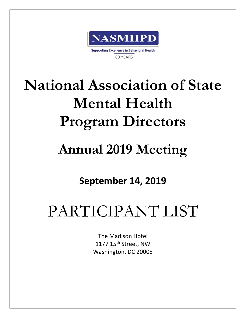

# **National Association of State Mental Health Program Directors**

## **Annual 2019 Meeting**

### **September 14, 2019**

# PARTICIPANT LIST

The Madison Hotel 1177 15<sup>th</sup> Street, NW Washington, DC 20005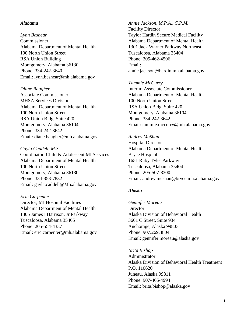#### *Alabama*

*Lynn Beshear* Commissioner Alabama Department of Mental Health 100 North Union Street RSA Union Building Montgomery, Alabama 36130 Phone: 334-242-3640 Email: lynn.beshear@mh.alabama.gov

*Diane Baugher* Associate Commissioner MHSA Services Division Alabama Department of Mental Health 100 North Union Street RSA Union Bldg. Suite 420 Montgomery, Alabama 36104 Phone: 334-242-3642 Email: diane.baugher@mh.alabama.gov

*Gayla Caddell, M.S.* Coordinator, Child & Adolescent MI Services Alabama Department of Mental Health 100 North Union Street Montgomery, Alabama 36130 Phone: 334-353-7832 Email: gayla.caddell@Mh.alabama.gov

#### *Eric Carpenter*

Director, MI Hospital Facilities Alabama Department of Mental Health 1305 James I Harrison, Jr Parkway Tuscaloosa, Alabama 35405 Phone: 205-554-4337 Email: eric.carpenter@mh.alabama.gov *Annie Jackson, M.P.A., C.P.M.* Facility Director Taylor Hardin Secure Medical Facility Alabama Department of Mental Health 1301 Jack Warner Parkway Northeast Tuscaloosa, Alabama 35404 Phone: 205-462-4506 Email: annie.jackson@hardin.mh.alabama.gov

*Tammie McCurry* Interim Associate Commissioner Alabama Department of Mental Health 100 North Union Street RSA Union Bldg. Suite 420 Montgomery, Alabama 36104 Phone: 334-242-3642 Email: tammie.mccurry@mh.alabama.gov

*Audrey McShan* Hospital Director Alabama Department of Mental Health Bryce Hospital 1651 Ruby Tyler Parkway Tuscaloosa, Alabama 35404 Phone: 205-507-8300 Email: audrey.mcshan@bryce.mh.alabama.gov

#### *Alaska*

*Gennifer Moreau* **Director** Alaska Division of Behavioral Health 3601 C Street, Suite 934 Anchorage, Alaska 99803 Phone: 907.269.4804 Email: gennifer.moreau@alaska.gov

*Brita Bishop* Administrator Alaska Division of Behavioral Health Treatment P.O. 110620 Juneau, Alaska 99811 Phone: 907-465-4994 Email: brita.bishop@alaska.gov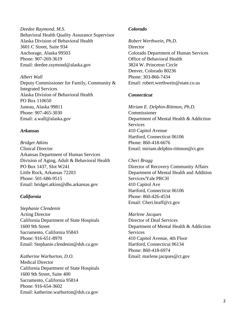*Deedee Raymond, M.S.* Behavioral Health Quality Assurance Supervisor Alaska Division of Behavioral Health 3601 C Street, Suite 934 Anchorage, Alaska 99503 Phone: 907-269-3619 Email: deedee.raymond@alaska.gov

*Albert Wall* Deputy Commissioner for Family, Community & Integrated Services Alaska Division of Behavioral Health PO Box 110650 Juneau, Alaska 99811 Phone: 907-465-3030 Email: a.wall@alaska.gov

#### *Arkansas*

*Bridget Atkins* Clinical Director Arkansas Department of Human Services Division of Aging, Adult & Behavioral Health PO Box 1437, Slot W241 Little Rock, Arkansas 72203 Phone: 501-686-9515 Email: bridget.atkins@dhs.arkansas.gov

#### *California*

*Stephanie Clendenin* Acting Director California Department of State Hospitals 1600 9th Street Sacramento, California 95843 Phone: 916-651-8970 Email: Stephanie.clendenin@dsh.ca.gov

*Katherine Warburton, D.O.* Medical Director California Department of State Hospitals 1600 9th Street, Suite 400 Sacramento, California 95814 Phone: 916-654-3602 Email: katherine.warburton@dsh.ca.gov

#### *Colorado*

*Robert Werthwein, Ph.D.* **Director** Colorado Department of Human Services Office of Behavioral Health 3824 W. Princeton Circle Denver, Colorado 80236 Phone: 303-866-7434 Email: robert.werthwein@state.co.us

#### *Connecticut*

*Miriam E. Delphin-Rittmon, Ph.D.* Commissioner Department of Mental Health & Addiction **Services** 410 Capitol Avenue Hartford, Connecticut 06106 Phone: 860-418-6676 Email: miriam.delphin-rittmon@ct.gov

*Cheri Bragg* Director of Recovery Community Affairs Department of Mental Health and Addition Services/Yale PRCH 410 Capitol Ave Hartford, Connecticut 06106 Phone: 860-426-4534 Email: Cheri.braff@ct.gov

*Marlene Jacques* Director of Deaf Services Department of Mental Health & Addiction Services 410 Capitol Avenue, 4th Floor Hartford, Connecticut 06134 Phone: 860-418-6974 Email: marlene.jacques@ct.gov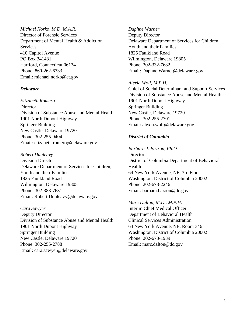*Michael Norko, M.D, M.A.R.* Director of Forensic Services Department of Mental Health & Addiction Services 410 Capitol Avenue PO Box 341431 Hartford, Connecticut 06134 Phone: 860-262-6733 Email: michael.norko@ct.gov

#### *Delaware*

*Elizabeth Romero* **Director** Division of Substance Abuse and Mental Health 1901 North Dupont Highway Springer Building New Castle, Delaware 19720 Phone: 302-255-9404 Email: elizabeth.romero@delaware.gov

*Robert Dunleavy* Division Director Delaware Department of Services for Children, Youth and their Families 1825 Faulkland Road Wilmington, Delaware 19805 Phone: 302-388-7631 Email: Robert.Dunleavy@delaware.gov

*Cara Sawyer* Deputy Director Division of Substance Abuse and Mental Health 1901 North Dupont Highway Springer Building New Castle, Delaware 19720 Phone: 302-255-2788 Email: cara.sawyer@delaware.gov

*Daphne Warner* Deputy Director Delaware Department of Services for Children, Youth and their Families 1825 Faulkland Road Wilmington, Delaware 19805 Phone: 302-332-7682 Email: Daphne.Warner@delaware.gov

#### *Alexia Wolf, M.P.H.*

Chief of Social Determinant and Support Services Division of Substance Abuse and Mental Health 1901 North Dupont Highway Springer Building New Castle, Delaware 19720 Phone: 302-255-2701 Email: alexia.wolf@delaware.gov

#### *District of Columbia*

*Barbara J. Bazron, Ph.D.* **Director** District of Columbia Department of Behavioral Health 64 New York Avenue, NE, 3rd Floor Washington, District of Columbia 20002 Phone: 202-673-2246 Email: barbara.bazron@dc.gov

*Marc Dalton, M.D., M.P.H.* Interim Chief Medical Officer Department of Behavioral Health Clinical Services Administration 64 New York Avenue, NE, Room 346 Washington, District of Columbia 20002 Phone: 202-673-1939 Email: marc.dalton@dc.gov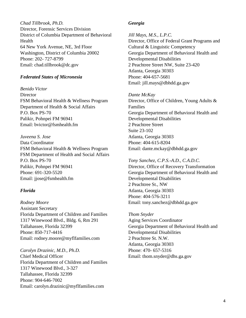*Chad Tillbrook, Ph.D.* Director, Forensic Services Division District of Columbia Department of Behavioral Health 64 New York Avenue, NE, 3rd Floor Washington, District of Columbia 20002 Phone: 202- 727-8799 Email: chad.tillbrook@dc.gov

#### *Federated States of Micronesia*

*Benido Victor* **Director** FSM Behavioral Health & Wellness Program Department of Health & Social Affairs P.O. Box PS-70 Palikir, Pohnpei FM 96941 Email: bvictor@fsmhealth.fm

*Juveena S. Jose* Data Coordinator FSM Behavioral Health & Wellness Program FSM Department of Health and Social Affairs P.O. Box PS-70 Palikir, Pohnpei FM 96941 Phone: 691-320-5520 Email: jjose@fsmhealth.fm

#### *Florida*

*Rodney Moore* Assistant Secretary Florida Department of Children and Families 1317 Winewood Blvd., Bldg. 6, Rm 291 Tallahassee, Florida 32399 Phone: 850-717-4416 Email: rodney.moore@myflfamilies.com

*Carolyn Drazinic, M.D., Ph.D.* Chief Medical Officer Florida Department of Children and Families 1317 Winewood Blvd., 3-327 Tallahassee, Florida 32399 Phone: 904-646-7002 Email: carolyn.drazinic@myflfamilies.com

#### *Georgia*

*Jill Mays, M.S., L.P.C.* Director, Office of Federal Grant Programs and Cultural & Linguistic Competency Georgia Department of Behavioral Health and Developmental Disabilities 2 Peachtree Street NW, Suite 23-420 Atlanta, Georgia 30303 Phone: 404-657-5681 Email: jill.mays@dbhdd.ga.gov

*Dante McKay* Director, Office of Children, Young Adults & Families Georgia Department of Behavioral Health and Developmental Disabilities 2 Peachtree Street Suite 23-102 Atlanta, Georgia 30303 Phone: 404-615-8204 Email: dante.mckay@dbhdd.ga.gov

*Tony Sanchez, C.P.S.-A.D., C.A.D.C.* Director, Office of Recovery Transformation Georgia Department of Behavioral Health and Developmental Disabilities 2 Peachtree St., NW Atlanta, Georgia 30303 Phone: 404-576-3211 Email: tony.sanchez@dbhdd.ga.gov

*Thom Snyder* Aging Services Coordinator Georgia Department of Behavioral Health and Developmental Disabilities 2 Peachtree St. N.W. Atlanta, Georgia 30303 Phone: 470- 657-5316 Email: thom.snyder@dhs.ga.gov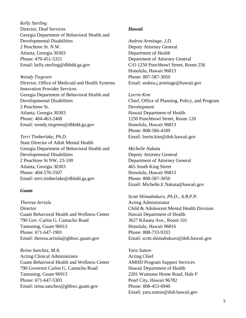*Kelly Sterling* Director, Deaf Services Georgia Department of Behavioral Health and Developmental Disabilities 2 Peachtree St. N.W. Atlanta, Georgia 30303 Phone: 470-451-5321 Email: kelly.sterling@dbhdd.ga.gov

#### *Wendy Tiegreen*

Director, Office of Medicaid and Health Systems Innovation Provider Services Georgia Department of Behavioral Health and Developmental Disabilities 2 Peachtree St. Atlanta, Georgia 30303 Phone: 404-463-2468 Email: wendy.tiegreen@dbhdd.ga.gov

#### *Terri Timberlake, Ph.D.*

State Director of Adult Mental Health Georgia Department of Behavioral Health and Developmental Disabilities 2 Peachtree St NW, 23-100 Atlanta, Georgia 30303 Phone: 404-576-5507 Email: terri.timberlake@dbhdd.ga.gov

#### *Guam*

*Theresa Arriola* **Director** Guam Behavioral Health and Wellness Center 790 Gov. Carlos G. Camacho Road Tamuning, Guam 96913 Phone: 671-647-1901 Email: theresa.arriola@gbhwc.guam.gov

*Reina Sanchez, M.A.* Acting Clinical Administrator Guam Behavioral Health and Wellness Center 790 Governor Carlos G. Camacho Road Tamuning, Guam 96913 Phone: 671-647-5303 Email: reina.sanchez@gbhwc.guam.gov

#### *Hawaii*

*Andrea Armitage, J.D.* Deputy Attorney General Department of Health Department of Attorney General C/O 1250 Punchbowl Street, Room 256 Honolulu, Hawaii 96813 Phone: 807-587-3050 Email: andrea.j.armitage@hawaii.gov

*Lorrin Kim* Chief, Office of Planning, Policy, and Program Development Hawaii Department of Health 1250 Punchbowl Street, Room 120 Honolulu, Hawaii 96813 Phone: 808-586-4189 Email: lorrin.kim@doh.hawaii.gov

*Michelle Nakata* Deputy Attorney General Department of Attorney General 465 South King Street Honolulu, Hawaii 96813 Phone: 808-587-3050 Email: Michelle.E.Nakata@hawaii.gov

*Scott Shimabukuro, Ph.D., A.B.P.P.* Acting Administrator

Child & Adolescent Mental Health Division Hawaii Department of Health 3627 Kilauea Ave., Room 101 Honolulu, Hawaii 96816 Phone: 808-733-9333 Email: scott.shimabukuro@doh.hawaii.gov

*Yara Sutton* Acting Chief AMHD Program Support Services Hawaii Department of Health 2201 Waimano Home Road, Hale F Pearl City, Hawaii 96782 Phone: 808-453-6940 Email: yara.sutton@doh.hawaii.gov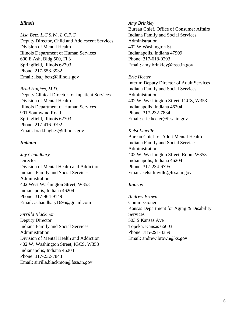#### *Illinois*

*Lisa Betz, L.C.S.W., L.C.P.C.* Deputy Director, Child and Adolescent Services Division of Mental Health Illinois Department of Human Services 600 E Ash, Bldg 500, Fl 3 Springfield, Illinois 62703 Phone: 217-558-3932 Email: lisa.j.betz@illinois.gov

*Brad Hughes, M.D.* Deputy Clinical Director for Inpatient Services Division of Mental Health Illinois Department of Human Services 901 Southwind Road Springfield, Illinois 62703 Phone: 217-416-9792 Email: brad.hughes@illinois.gov

#### *Indiana*

*Jay Chaudhary* **Director** Division of Mental Health and Addiction Indiana Family and Social Services Administration 402 West Washington Street, W353 Indianapolis, Indiana 46204 Phone: 317-964-9149 Email: achaudhary1695@gmail.com

*Sirrilla Blackmon* Deputy Director Indiana Family and Social Services Administration Division of Mental Health and Addiction 402 W. Washington Street, IGCS, W353 Indianapolis, Indiana 46204 Phone: 317-232-7843 Email: sirrilla.blackmon@fssa.in.gov

#### *Amy Brinkley*

Bureau Chief, Office of Consumer Affairs Indiana Family and Social Services Administration 402 W Washington St Indianapolis, Indiana 47909 Phone: 317-618-0293 Email: amy.brinkley@fssa.in.gov

#### *Eric Heeter*

Interim Deputy Director of Adult Services Indiana Family and Social Services Administration 402 W. Washington Street, IGCS, W353 Indianapolis, Indiana 46204 Phone: 317-232-7834 Email: eric.heeter@fssa.in.gov

#### *Kelsi Linville*

Bureau Chief for Adult Mental Health Indiana Family and Social Services Administration 402 W. Washington Street, Room W353 Indianapolis, Indiana 46204 Phone: 317-234-6795 Email: kelsi.linville@fssa.in.gov

#### *Kansas*

*Andrew Brown* Commissioner Kansas Department for Aging & Disability Services 503 S Kansas Ave Topeka, Kansas 66603 Phone: 785-291-3359 Email: andrew.brown@ks.gov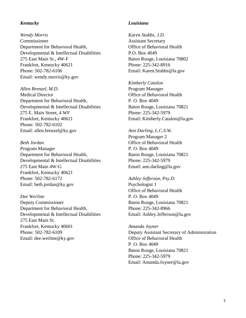#### *Kentucky*

*Wendy Morris* Commissioner Department for Behavioral Health, Developmental & Intellectual Disabilities 275 East Main St., 4W-F Frankfort, Kentucky 40621 Phone: 502-782-6106 Email: wendy.morris@ky.gov

*Allen Brenzel, M.D.* Medical Director Department for Behavioral Health, Developmental & Intellectual Disabilities 275 E. Main Street, 4 WF Frankfort, Kentucky 40621 Phone: 502-782-6102 Email: allen.brenzel@ky.gov

#### *Beth Jordan*

Program Manager Department for Behavioral Health, Developmental & Intellectual Disabilities 275 East Main 4W-G Frankfort, Kentucky 40621 Phone: 502-782-6172 Email: beth.jordan@ky.gov

*Dee Werline* Deputy Commissioner Department for Behavioral Health, Developmental & Intellectual Disabilities 275 East Main St. Frankfort, Kentucky 40601 Phone: 502-782-6109 Email: dee.werline@ky.gov

#### *Louisiana*

*Karen Stubbs, J.D.* Assistant Secretary Office of Behavioral Health P.O. Box 4049 Baton Rouge, Louisiana 70802 Phone: 225-342-8916 Email: Karen.Stubbs@la.gov

*Kimberly Catalon* Program Manager Office of Behavioral Health P. O. Box 4049 Baton Rouge, Louisiana 70821 Phone: 225-342-5979 Email: Kimberly.Catalon@la.gov

*Ann Darling, L.C.S.W.* Program Manager 2 Office of Behavioral Health P. O. Box 4049 Baton Rouge, Louisiana 70821 Phone: 225-342-5979 Email: ann.darling@la.gov

*Ashley Jefferson, Psy.D.* Psychologist 1 Office of Behavioral Health P. O. Box 4049 Baton Rouge, Louisiana 70821

Phone: 225-342-8966 Email: Ashley.Jefferson@la.gov

*Amanda Joyner* Deputy Assistant Secretary of Administration Office of Behavioral Health P. O. Box 4049 Baton Rouge, Louisiana 70821 Phone: 225-342-5979 Email: Amanda.Joyner@la.gov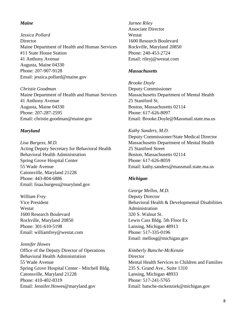#### *Maine*

*Jessica Pollard* **Director** Maine Department of Health and Human Services #11 State House Station 41 Anthony Avenue Augusta, Maine 04330 Phone: 207-907-9128 Email: jessica.pollard@maine.gov

*Christie Goodman* Maine Department of Health and Human Services 41 Anthony Avenue Augusta, Maine 04330 Phone: 207-287-2595 Email: christie.goodman@maine.gov

#### *Maryland*

*Lisa Burgess, M.D.* Acting Deputy Secretary for Behavioral Health Behavioral Health Administration Spring Grove Hospital Center 55 Wade Avenue Catonsville, Maryland 21228 Phone: 443-804-6886 Email: lisaa.burgess@maryland.gov

#### *William Frey*

Vice President Westat 1600 Research Boulevard Rockville, Maryland 20850 Phone: 301-610-5198 Email: williamfrey@westat.com

#### *Jennifer Howes*

Office of the Deputy Director of Operations Behavioral Health Administration 55 Wade Avenue Spring Grove Hospital Center - Mitchell Bldg. Catonsville, Maryland 21228 Phone: 410-402-8319 Email: Jennifer.Howes@maryland.gov

*Jarnee Riley* Associate Director Westat 1600 Research Boulevard Rockville, Maryland 20850 Phone: 240-453-2724 Email: rileyj@westat.com

#### *Massachusetts*

*Brooke Doyle* Deputy Commissioner Massachusetts Department of Mental Health 25 Staniford St. Boston, Massachusetts 02114 Phone: 617-626-8097 Email: Brooke.Doyle@Massmail.state.ma.us

*Kathy Sanders, M.D.* Deputy Commissioner/State Medical Director Massachusetts Department of Mental Health 25 Staniford Street Boston, Massachusetts 02114 Phone: 617-626-8059 Email: kathy.sanders@massmail.state.ma.us

#### *Michigan*

*George Mellos, M.D.* Deputy Director Behavioral Health & Developmental Disabilities Administration 320 S. Walnut St. Lewis Cass Bldg. 5th Floor Ex Lansing, Michigan 48913 Phone: 517-335-0196 Email: mellosg@michigan.gov

*Kimberly Batsche-McKenzie* **Director** Mental Health Services to Children and Families 235 S. Grand Ave., Suite 1310 Lansing, Michigan 48933 Phone: 517-241-5765 Email: batsche-mckenziek@michigan.gov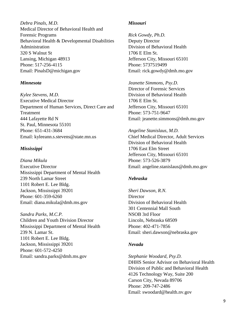*Debra Pinals, M.D.* Medical Director of Behavioral Health and Forensic Programs Behavioral Health & Developmental Disabilities Administration 320 S Walnut St Lansing, Michigan 48913 Phone: 517-256-4115 Email: PinalsD@michigan.gov

#### *Minnesota*

*Kylee Stevens, M.D.* Executive Medical Director Department of Human Services, Direct Care and Treatment 444 Lafayette Rd N St. Paul, Minnesota 55101 Phone: 651-431-3684 Email: kyleeann.s.stevens@state.mn.us

#### *Mississippi*

*Diana Mikula* Executive Director Mississippi Department of Mental Health 239 North Lamar Street 1101 Robert E. Lee Bldg. Jackson, Mississippi 39201 Phone: 601-359-6260 Email: diana.mikula@dmh.ms.gov

*Sandra Parks, M.C.P.* Children and Youth Division Director Mississippi Department of Mental Health 239 N. Lamar St. 1101 Robert E. Lee Bldg. Jackson, Mississippi 39201 Phone: 601-572-4250 Email: sandra.parks@dmh.ms.gov

#### *Missouri*

*Rick Gowdy, Ph.D.* Deputy Director Division of Behavioral Health 1706 E Elm St. Jefferson City, Missouri 65101 Phone: 5737519499 Email: rick.gowdy@dmh.mo.gov

*Jeanette Simmons, Psy.D.* Director of Forensic Services Division of Behavioral Health 1706 E Elm St. Jefferson City, Missouri 65101 Phone: 573-751-9647 Email: jeanette.simmons@dmh.mo.gov

*Angeline Stanislaus, M.D.* Chief Medical Director, Adult Services Division of Behavioral Health 1706 East Elm Street Jefferson City, Missouri 65101 Phone: 573-526-3879 Email: angeline.stanislaus@dmh.mo.gov

#### *Nebraska*

*Sheri Dawson, R.N.* **Director** Division of Behavioral Health 301 Centennial Mall South NSOB 3rd Floor Lincoln, Nebraska 68509 Phone: 402-471-7856 Email: sheri.dawson@nebraska.gov

#### *Nevada*

*Stephanie Woodard, Psy.D.* DHHS Senior Advisor on Behavioral Health Division of Public and Behavioral Health 4126 Technology Way, Suite 200 Carson City, Nevada 89706 Phone: 209-747-2486 Email: swoodard@health.nv.gov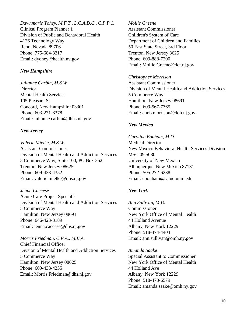*Dawnmarie Yohey, M.F.T., L.C.A.D.C., C.P.P.1.* Clinical Program Planner 1 Division of Public and Behavioral Health 4126 Technology Way Reno, Nevada 89706 Phone: 775-684-3217 Email: dyohey@health.nv.gov

#### *New Hampshire*

*Julianne Carbin, M.S.W* **Director** Mental Health Services 105 Pleasant St Concord, New Hampshire 03301 Phone: 603-271-8378 Email: julianne.carbin@dhhs.nh.gov

#### *New Jersey*

*Valerie Mielke, M.S.W.* Assistant Commissioner Division of Mental Health and Addiction Services 5 Commerce Way, Suite 100, PO Box 362 Trenton, New Jersey 08625 Phone: 609-438-4352 Email: valerie.mielke@dhs.nj.gov

#### *Jenna Caccese*

Acute Care Project Specialist Division of Mental Health and Addiction Services 5 Commerce Way Hamilton, New Jersey 08691 Phone: 646-423-3189 Email: jenna.caccese@dhs.nj.gov

#### *Morris Friedman, C.P.A., M.B.A.*

Chief Financial Officer Divsion of Mental Health and Addiction Services 5 Commerce Way Hamilton, New Jersey 08625 Phone: 609-438-4235 Email: Morris.Friedman@dhs.nj.gov

*Mollie Greene* Assistant Commissioner Children's System of Care Department of Children and Families 50 East State Street, 3rd Floor Trenton, New Jersey 8625 Phone: 609-888-7200 Email: Mollie.Greene@dcf.nj.gov

*Christopher Morrison* Assistant Commissioner Division of Mental Health and Addiction Services 5 Commerce Way Hamilton, New Jersey 08691 Phone: 609-567-7365 Email: chris.morrison@doh.nj.gov

#### *New Mexico*

*Caroline Bonham, M.D.* Medical Director New Mexico Behavioral Health Services Division MSC 09 5030 University of New Mexico Albuquerque, New Mexico 87131 Phone: 505-272-6238 Email: cbonham@salud.unm.edu

#### *New York*

*Ann Sullivan, M.D.* Commissioner New York Office of Mental Health 44 Holland Avenue Albany, New York 12229 Phone: 518-474-4403 Email: ann.sullivan@omh.ny.gov

*Amanda Saake* Special Assistant to Commissioner New York Office of Mental Health 44 Holland Ave Albany, New York 12229 Phone: 518-473-6579 Email: amanda.saake@omh.ny.gov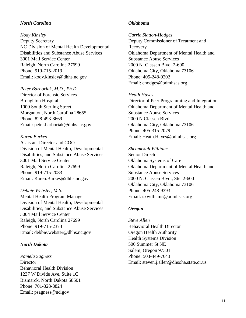#### *North Carolina*

*Kody Kinsley* Deputy Secretary NC Division of Mental Health Developmental Disabilities and Substance Abuse Services 3001 Mail Service Center Raleigh, North Carolina 27699 Phone: 919-715-2019 Email: kody.kinsley@dhhs.nc.gov

*Peter Barboriak, M.D., Ph.D.* Director of Forensic Services Broughton Hospital 1000 South Sterling Street Morganton, North Carolina 28655 Phone: 828-493-8669 Email: peter.barboriak@dhhs.nc.gov

#### *Karen Burkes*

Assistant Director and COO Division of Mental Health, Developmental Disabilities, and Substance Abuse Services 3001 Mail Service Center Raleigh, North Carolina 27699 Phone: 919-715-2083 Email: Karen.Burkes@dhhs.nc.gov

*Debbie Webster, M.S.* Mental Health Program Manager Division of Mental Health, Developmental Disabilities, and Substance Abuse Services 3004 Mail Service Center Raleigh, North Carolina 27699 Phone: 919-715-2373 Email: debbie.webster@dhhs.nc.gov

#### *North Dakota*

*Pamela Sagness* **Director** Behavioral Health Division 1237 W Divide Ave, Suite 1C Bismarck, North Dakota 58501 Phone: 701-328-8824 Email: psagness@nd.gov

#### *Oklahoma*

*Carrie Slatton-Hodges* Deputy Commissioner of Treatment and Recovery Oklahoma Department of Mental Health and Substance Abuse Services 2000 N. Classen Blvd. 2-600 Oklahoma City, Oklahoma 73106 Phone: 405-248-9202 Email: chodges@odmhsas.org

#### *Heath Hayes*

Director of Peer Programming and Integration Oklahoma Department of Mental Health and Substance Abuse Services 2000 N Classen Blvd Oklahoma City, Oklahoma 73106 Phone: 405-315-2079 Email: Heath.Hayes@odmhsas.org

*Sheamekah Williams* Senior Director Oklahoma Systems of Care Oklahoma Department of Mental Health and Substance Abuse Services 2000 N. Classen Blvd., Ste. 2-600 Oklahoma City, Oklahoma 73106 Phone: 405-248-9393 Email: sxwilliams@odmhsas.org

#### *Oregon*

*Steve Allen* Behavioral Health Director Oregon Health Authority Health Systems Division 500 Summer St NE Salem, Oregon 97301 Phone: 503-449-7643 Email: steven.j.allen@dhsoha.state.or.us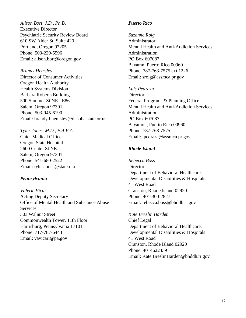*Alison Bort, J.D., Ph.D.* Executive Director Psychiatric Security Review Board 610 SW Alder St, Suite 420 Portland, Oregon 97205 Phone: 503-229-5596 Email: alison.bort@oregon.gov

*Brandy Hemsley* Director of Consumer Activities

Oregon Health Authority Health Systems Division Barbara Roberts Building 500 Summer St NE - E86 Salem, Oregon 97301 Phone: 503-945-6190 Email: brandy.l.hemsley@dhsoha.state.or.us

*Tyler Jones, M.D., F.A.P.A.* Chief Medical Officer

Oregon State Hospital 2600 Center St NE Salem, Oregon 97301 Phone: 541-680-2522 Email: tyler.jones@state.or.us

#### *Pennsylvania*

*Valerie Vicari* Acting Deputy Secretary Office of Mental Health and Substance Abuse **Services** 303 Walnut Street Commonwealth Tower, 11th Floor Harrisburg, Pennsylvania 17101 Phone: 717-787-6443 Email: vavicari@pa.gov

#### *Puerto Rico*

*Suzanne Roig* Administrator Mental Health and Anti-Addiction Services Administration PO Box 607087 Bayamn, Puerto Rico 00960 Phone: 787-763-7575 ext 1226 Email: sroig@assmca.pr.gov

*Luis Pedraza*

**Director** Federal Programs & Planning Office Mental Health and Anti-Addiction Services Administration PO Box 607087 Bayamon, Puerto Rico 00960 Phone: 787-763-7575 Email: lpedraza@assmca.pr.gov

#### *Rhode Island*

*Rebecca Boss* **Director** Department of Behavioral Healthcare, Developmental Disabilities & Hospitals 41 West Road Cranston, Rhode Island 02920 Phone: 401-300-2827 Email: rebecca.boss@bhddh.ri.gov

*Kate Breslin Harden* Chief Legal Department of Behavioral Healthcare, Developmental Disabilities & Hospitals 41 West Road Cranston, Rhode Island 02920 Phone: 4014622339 Email: Kate.BreslinHarden@bhddh.ri.gov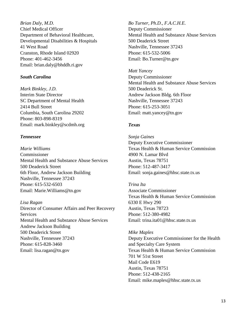*Brian Daly, M.D.* Chief Medical Officer Department of Behavioral Healthcare, Developmental Disabilities & Hospitals 41 West Road Cranston, Rhode Island 02920 Phone: 401-462-3456 Email: brian.daly@bhddh.ri.gov

#### *South Carolina*

*Mark Binkley, J.D.* Interim State Director SC Department of Mental Health 2414 Bull Street Columbia, South Carolina 29202 Phone: 803-898-8319 Email: mark.binkley@scdmh.org

#### *Tennessee*

*Marie Williams* Commissioner Mental Health and Substance Abuse Services 500 Deaderick Street 6th Floor, Andrew Jackson Building Nashville, Tennessee 37243 Phone: 615-532-6503 Email: Marie.Williams@tn.gov

#### *Lisa Ragan*

Director of Consumer Affairs and Peer Recovery Services Mental Health and Substance Abuse Services Andrew Jackson Building 500 Deaderick Street Nashville, Tennessee 37243 Phone: 615-828-3460 Email: lisa.ragan@tn.gov

*Bo Turner, Ph.D., F.A.C.H.E.* Deputy Commissioner Mental Health and Substance Abuse Services 500 Deaderick Street Nashville, Tennessee 37243 Phone: 615-532-5006 Email: Bo.Turner@tn.gov

*Matt Yancey* Deputy Commissioner Mental Health and Substance Abuse Services 500 Deaderick St. Andrew Jackson Bldg. 6th Floor Nashville, Tennessee 37243 Phone: 615-253-3051 Email: matt.yancey@tn.gov

#### *Texas*

*Sonja Gaines* Deputy Executive Commissioner Texas Health & Human Service Commission 4900 N. Lamar Blvd Austin, Texas 78751 Phone: 512-487-3417 Email: sonja.gaines@hhsc.state.tx.us

#### *Trina Ita*

Associate Commissioner Texas Health & Human Service Commission 6330 E Hwy 290 Austin, Texas 78723 Phone: 512-380-4982 Email: trina.ita01@hhsc.state.tx.us

#### *Mike Maples*

Deputy Executive Commissioner for the Health and Specialty Care System Texas Health & Human Service Commission 701 W 51st Street Mail Code E619 Austin, Texas 78751 Phone: 512-438-2165 Email: mike.maples@hhsc.state.tx.us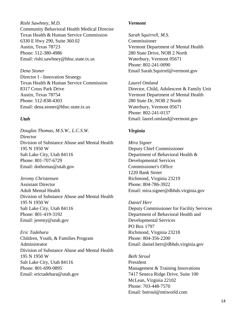*Rishi Sawhney, M.D.* Community Behavioral Health Medical Director Texas Health & Human Service Commission 6330 E Hwy 290, Suite 360.02 Austin, Texas 78723 Phone: 512-380-4986 Email: rishi.sawhney@hhsc.state.tx.us

#### *Dena Stoner*

Director I - Innovation Strategy Texas Health & Human Service Commission 8317 Cross Park Drive Austin, Texas 78754 Phone: 512-838-4303 Email: dena.stoner@hhsc.state.tx.us

#### *Utah*

*Douglas Thomas, M.S.W., L.C.S.W.* **Director** Division of Substance Abuse and Mental Health 195 N 1950 W Salt Lake City, Utah 84116 Phone: 801-707-6729 Email: dothomas@utah.gov

*Jeremy Christensen* Assistant Director Adult Mental Health Division of Substance Abuse and Mental Health 195 N 1950 W Salt Lake City, Utah 84116 Phone: 801-419-3192 Email: jeremy@utah.gov

*Eric Tadehara* Children, Youth, & Families Program Administrator Division of Substance Abuse and Mental Health 195 N 1950 W Salt Lake City, Utah 84116 Phone: 801-699-0895 Email: erictadehara@utah.gov

#### *Vermont*

*Sarah Squirrell, M.S.* Commissioner Vermont Department of Mental Health 280 State Drive, NOB 2 North Waterbury, Vermont 05671 Phone: 802-241-0090 Email Sarah.Squirrel@vermont.gov

*Laurel Omland*

Director, Child, Adolescent & Family Unit Vermont Department of Mental Health 280 State Dr, NOB 2 North Waterbury, Vermont 05671 Phone: 802-241-0137 Email: laurel.omland@vermont.gov

#### *Virginia*

*Mira Signer* Deputy Chief Commissioner Department of Behavioral Health & Developmental Services Commissioner's Office 1220 Bank Street Richmond, Virginia 23219 Phone: 804-786-3922 Email: mira.signer@dbhds.virginia.gov

*Daniel Herr* Deputy Commissioner for Facility Services Department of Behavioral Health and Developmental Services PO Box 1797 Richmond, Virginia 23218 Phone: 804-356-2200 Email: daniel.herr@dbhds.virginia.gov

*Beth Stroul* President Management & Training Innovations 7417 Seneca Ridge Drive, Suite 100 McLean, Virginia 22102 Phone: 703-448-7570 Email: bstroul@mtiworld.com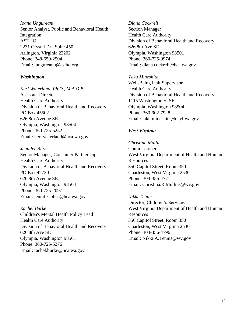*Ioana Ungureanu* Senior Analyst, Public and Behavioral Health Integration ASTHO 2231 Crystal Dr., Suite 450 Arlington, Virginia 22202 Phone: 248-659-2504 Email: iungureanu@astho.org

#### *Washington*

*Keri Waterland, Ph.D., M.A.O.B.* Assistant Director Health Care Authority Division of Behavioral Health and Recovery PO Box 45502 626 8th Avenue SE Olympia, Washington 98504 Phone: 360-725-5252 Email: keri.waterland@hca.wa.gov

*Jennifer Bliss* Senior Manager, Consumer Partnership Health Care Authority Division of Behavioral Health and Recovery PO Box 42730 626 8th Avenue SE Olympia, Washington 98504 Phone: 360-725-2097 Email: jennifer.bliss@hca.wa.gov

*Rachel Burke* Children's Mental Health Policy Lead Health Care Authority Division of Behavioral Health and Recovery 626 8th Ave SE Olympia, Washington 98501 Phone: 360-725-5276 Email: rachel.burke@hca.wa.gov

*Diana Cockrell* Section Manager Health Care Authority Division of Behavioral Health and Recovery 626 8th Ave SE Olympia, Washington 98501 Phone: 360-725-9974 Email: diana.cockrell@hca.wa.gov

*Taku Mineshita* Well-Being Unit Supervisor Health Care Authority Division of Behavioral Health and Recovery 1115 Washington St SE Olympia, Washington 98504 Phone: 360-902-7928 Email: taku.mineshita@dcyf.wa.gov

#### *West Virginia*

*Christina Mullins* Commissioner West Virginia Department of Health and Human Resources 350 Capitol Street, Room 350 Charleston, West Virginia 25301 Phone: 304-356-4771 Email: Christina.R.Mullins@wv.gov

*Nikki Tennis* Director, Children's Services West Virginia Department of Health and Human **Resources** 350 Capitol Street, Room 350 Charleston, West Virginia 25301 Phone: 304-356-4796 Email: Nikki.A.Tennis@wv.gov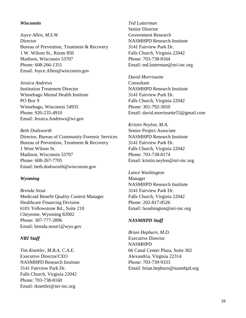#### *Wisconsin*

*Joyce Allen, M.S.W.* **Director** Bureau of Prevention, Treatment & Recovery 1 W. Wilson St., Room 850 Madison, Wisconsin 53707 Phone: 608-266-1351 Email: Joyce.Allen@wisconsin.gov

*Jessica Andrews* Institution Treatment Director Winnebago Mental Health Institute PO Box 9 Winnebago, Wisconsin 54935 Phone: 920-235-4910 Email: Jessica.Andrews@wi.gov

*Beth Dodsworth* Director, Bureau of Community Forensic Services Bureau of Prevention, Treatment & Recovery 1 West Wilson St. Madison, Wisconsin 53707 Phone: 608-267-7705 Email: beth.dodsworth@wisconsin.gov

#### *Wyoming*

*Brenda Stout* Medicaid Benefit Quality Control Manager Healthcare Financing Division 6101 Yellowstone Rd., Suite 210 Cheyenne, Wyoming 82002 Phone: 307-777-2896 Email: brenda.stout1@wyo.gov

#### *NRI Staff*

*Tim Knettler, M.B.A, C.A.E.* Executive Director/CEO NASMHPD Research Institute 3141 Fairview Park Dr. Falls Church, Virginia 22042 Phone: 703-738-8160 Email: tknettler@nri-inc.org

*Ted Lutterman* Senior Director Government Research NASMHPD Research Institute 3141 Fairview Park Dr. Falls Church, Virginia 22042 Phone: 703-738-8164 Email: ted.lutterman@nri-inc.org

*David Morrissette* Consultant NASMHPD Research Institute 3141 Fairview Park Dr. Falls Church, Virginia 22042 Phone: 301-792-3050 Email: david.morrissette55@gmail.com

*Kristin Neylon, M.A.* Senior Project Associate NASMHPD Research Institute 3141 Fairview Park Dr. Falls Church, Virginia 22042 Phone: 703-738-8174 Email: kristin.neylon@nri-inc.org

*Lance Washington* Manager NASMHPD Research Institute 3141 Fairview Park Dr. Falls Church, Virginia 22042 Phone: 202-817-8526 Email: lwashington@nri-inc.org

#### *NASMHPD Staff*

*Brian Hepburn, M.D.* Executive Director NASMHPD 66 Canal Center Plaza, Suite 302 Alexandria, Virginia 22314 Phone: 703-739-9333 Email: brian.hepburn@nasmhpd.org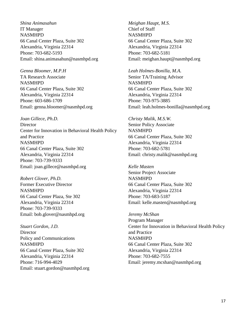*Shina Animasahun* IT Manager NASMHPD 66 Canal Center Plaza, Suite 302 Alexandria, Virginia 22314 Phone: 703-682-5193 Email: shina.animasahun@nasmhpd.org

*Genna Bloomer, M.P.H* TA Research Associate NASMHPD 66 Canal Center Plaza, Suite 302 Alexandria, Virginia 22314 Phone: 603-686-1709 Email: genna.bloomer@nasmhpd.org

*Joan Gillece, Ph.D.* **Director** Center for Innovation in Behavioral Health Policy and Practice NASMHPD 66 Canal Center Plaza, Suite 302 Alexandria, Virginia 22314 Phone: 703-739-9333 Email: joan.gillece@nasmhpd.org

*Robert Glover, Ph.D.* Former Executive Director NASMHPD 66 Canal Center Plaza, Ste 302 Alexandria, Virginia 22314 Phone: 703-739-9333 Email: bob.glover@nasmhpd.org

*Stuart Gordon, J.D.* **Director** Policy and Communications NASMHPD 66 Canal Center Plaza, Suite 302 Alexandria, Virginia 22314 Phone: 716-994-4029 Email: stuart.gordon@nasmhpd.org *Meighan Haupt, M.S.* Chief of Staff NASMHPD 66 Canal Center Plaza, Suite 302 Alexandria, Virginia 22314 Phone: 703-682-5181 Email: meighan.haupt@nasmhpd.org

*Leah Holmes-Bonilla, M.A.* Senior TA/Training Advisor NASMHPD 66 Canal Center Plaza, Suite 302 Alexandria, Virginia 22314 Phone: 703-975-3885 Email: leah.holmes-bonilla@nasmhpd.org

*Christy Malik, M.S.W.* Senior Policy Associate NASMHPD 66 Canal Center Plaza, Suite 302 Alexandria, Virginia 22314 Phone: 703-682-5781 Email: christy.malik@nasmhpd.org

*Kelle Masten* Senior Project Associate NASMHPD 66 Canal Center Plaza, Suite 302 Alexandria, Virginia 22314 Phone: 703-683-5187 Email: kelle.masten@nasmhpd.org

*Jeremy McShan* Program Manager Center for Innovation in Behavioral Health Policy and Practice NASMHPD 66 Canal Center Plaza, Suite 302 Alexandria, Virginia 22314 Phone: 703-682-7555 Email: jeremy.mcshan@nasmhpd.org